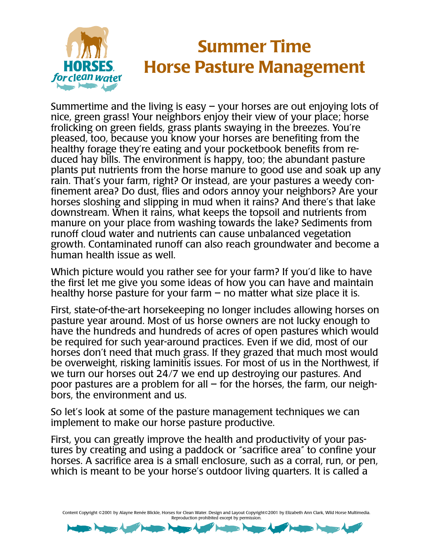

## **Summer Time Horse Pasture Management**

Summertime and the living is easy  $-$  your horses are out enjoying lots of nice, green grass! Your neighbors enjoy their view of your place; horse frolicking on green fields, grass plants swaying in the breezes. You're pleased, too, because you know your horses are benefiting from the healthy forage they're eating and your pocketbook benefits from reduced hay bills. The environment is happy, too; the abundant pasture plants put nutrients from the horse manure to good use and soak up any rain. That's your farm, right? Or instead, are your pastures a weedy confinement area? Do dust, flies and odors annoy your neighbors? Are your horses sloshing and slipping in mud when it rains? And there's that lake downstream. When it rains, what keeps the topsoil and nutrients from manure on your place from washing towards the lake? Sediments from runoff cloud water and nutrients can cause unbalanced vegetation growth. Contaminated runoff can also reach groundwater and become a human health issue as well.

Which picture would you rather see for your farm? If you'd like to have the first let me give you some ideas of how you can have and maintain healthy horse pasture for your farm  $-$  no matter what size place it is.

First, state-of-the-art horsekeeping no longer includes allowing horses on pasture year around. Most of us horse owners are not lucky enough to have the hundreds and hundreds of acres of open pastures which would be required for such year-around practices. Even if we did, most of our horses don't need that much grass. If they grazed that much most would be overweight, risking laminitis issues. For most of us in the Northwest, if we turn our horses out 24/7 we end up destroying our pastures. And poor pastures are a problem for all  $-$  for the horses, the farm, our neighbors, the environment and us.

So let's look at some of the pasture management techniques we can implement to make our horse pasture productive.

First, you can greatly improve the health and productivity of your pastures by creating and using a paddock or "sacrifice area" to confine your horses. A sacrifice area is a small enclosure, such as a corral, run, or pen, which is meant to be your horse's outdoor living quarters. It is called a

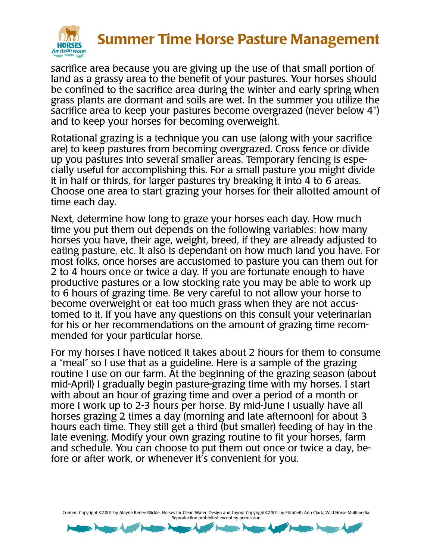

## **Summer Time Horse Pasture Management**

sacrifice area because you are giving up the use of that small portion of land as a grassy area to the benefit of your pastures. Your horses should be confined to the sacrifice area during the winter and early spring when grass plants are dormant and soils are wet. In the summer you utilize the sacrifice area to keep your pastures become overgrazed (never below 4") and to keep your horses for becoming overweight.

Rotational grazing is a technique you can use (along with your sacrifice are) to keep pastures from becoming overgrazed. Cross fence or divide up you pastures into several smaller areas. Temporary fencing is especially useful for accomplishing this. For a small pasture you might divide it in half or thirds, for larger pastures try breaking it into 4 to 6 areas. Choose one area to start grazing your horses for their allotted amount of time each day.

Next, determine how long to graze your horses each day. How much time you put them out depends on the following variables: how many horses you have, their age, weight, breed, if they are already adjusted to eating pasture, etc. It also is dependant on how much land you have. For most folks, once horses are accustomed to pasture you can them out for 2 to 4 hours once or twice a day. If you are fortunate enough to have productive pastures or a low stocking rate you may be able to work up to 6 hours of grazing time. Be very careful to not allow your horse to become overweight or eat too much grass when they are not accustomed to it. If you have any questions on this consult your veterinarian for his or her recommendations on the amount of grazing time recommended for your particular horse.

For my horses I have noticed it takes about 2 hours for them to consume a "meal" so I use that as a guideline. Here is a sample of the grazing routine I use on our farm. At the beginning of the grazing season (about mid-April) I gradually begin pasture-grazing time with my horses. I start with about an hour of grazing time and over a period of a month or more I work up to 2-3 hours per horse. By mid-June I usually have all horses grazing 2 times a day (morning and late afternoon) for about 3 hours each time. They still get a third (but smaller) feeding of hay in the late evening. Modify your own grazing routine to fit your horses, farm and schedule. You can choose to put them out once or twice a day, before or after work, or whenever it's convenient for you.

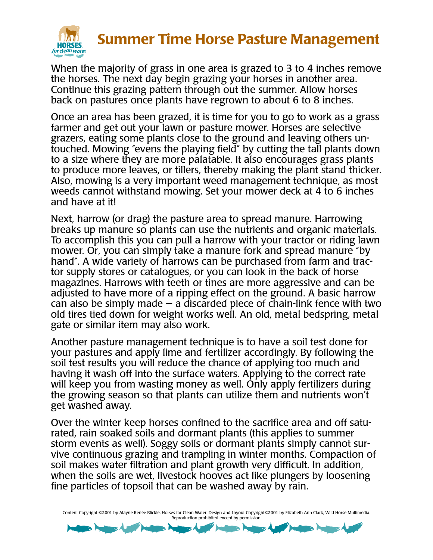

## **Summer Time Horse Pasture Management**

When the majority of grass in one area is grazed to 3 to 4 inches remove the horses. The next day begin grazing your horses in another area. Continue this grazing pattern through out the summer. Allow horses back on pastures once plants have regrown to about 6 to 8 inches.

Once an area has been grazed, it is time for you to go to work as a grass farmer and get out your lawn or pasture mower. Horses are selective grazers, eating some plants close to the ground and leaving others untouched. Mowing "evens the playing field" by cutting the tall plants down to a size where they are more palatable. It also encourages grass plants to produce more leaves, or tillers, thereby making the plant stand thicker. Also, mowing is a very important weed management technique, as most weeds cannot withstand mowing. Set your mower deck at 4 to 6 inches and have at it!

Next, harrow (or drag) the pasture area to spread manure. Harrowing breaks up manure so plants can use the nutrients and organic materials. To accomplish this you can pull a harrow with your tractor or riding lawn mower. Or, you can simply take a manure fork and spread manure "by hand". A wide variety of harrows can be purchased from farm and tractor supply stores or catalogues, or you can look in the back of horse magazines. Harrows with teeth or tines are more aggressive and can be adjusted to have more of a ripping effect on the ground. A basic harrow can also be simply made  $-$  a discarded piece of chain-link fence with two old tires tied down for weight works well. An old, metal bedspring, metal gate or similar item may also work.

Another pasture management technique is to have a soil test done for your pastures and apply lime and fertilizer accordingly. By following the soil test results you will reduce the chance of applying too much and having it wash off into the surface waters. Applying to the correct rate will keep you from wasting money as well. Only apply fertilizers during the growing season so that plants can utilize them and nutrients won't get washed away.

Over the winter keep horses confined to the sacrifice area and off saturated, rain soaked soils and dormant plants (this applies to summer storm events as well). Soggy soils or dormant plants simply cannot survive continuous grazing and trampling in winter months. Compaction of soil makes water filtration and plant growth very difficult. In addition, when the soils are wet, livestock hooves act like plungers by loosening fine particles of topsoil that can be washed away by rain.